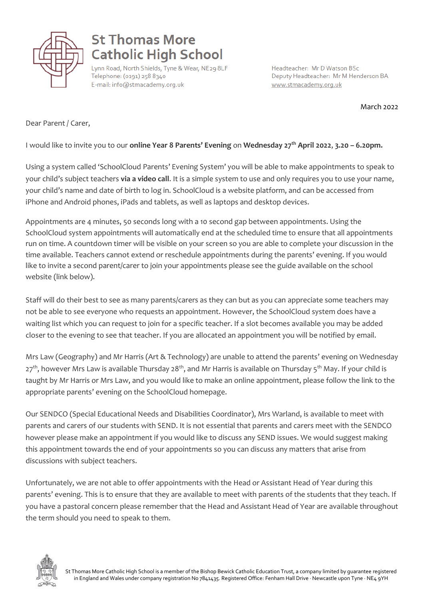

## **St Thomas More Catholic High School**

Lynn Road, North Shields, Tyne & Wear, NE29 8LF Telephone: (0191) 258 8340 E-mail: info@stmacademy.org.uk

Headteacher: Mr D Watson BSc Deputy Headteacher: Mr M Henderson BA www.stmacademy.org.uk

March 2022

Dear Parent / Carer,

I would like to invite you to our **online Year 8 Parents' Evening** on **Wednesday 27th April 2022**, **3.20 – 6.20pm.**

Using a system called 'SchoolCloud Parents' Evening System' you will be able to make appointments to speak to your child's subject teachers **via a video call**. It is a simple system to use and only requires you to use your name, your child's name and date of birth to log in. SchoolCloud is a website platform, and can be accessed from iPhone and Android phones, iPads and tablets, as well as laptops and desktop devices.

Appointments are 4 minutes, 50 seconds long with a 10 second gap between appointments. Using the SchoolCloud system appointments will automatically end at the scheduled time to ensure that all appointments run on time. A countdown timer will be visible on your screen so you are able to complete your discussion in the time available. Teachers cannot extend or reschedule appointments during the parents' evening. If you would like to invite a second parent/carer to join your appointments please see the guide available on the school website (link below).

Staff will do their best to see as many parents/carers as they can but as you can appreciate some teachers may not be able to see everyone who requests an appointment. However, the SchoolCloud system does have a waiting list which you can request to join for a specific teacher. If a slot becomes available you may be added closer to the evening to see that teacher. If you are allocated an appointment you will be notified by email.

Mrs Law (Geography) and Mr Harris (Art & Technology) are unable to attend the parents' evening on Wednesday 27<sup>th</sup>, however Mrs Law is available Thursday 28<sup>th</sup>, and Mr Harris is available on Thursday 5<sup>th</sup> May. If your child is taught by Mr Harris or Mrs Law, and you would like to make an online appointment, please follow the link to the appropriate parents' evening on the SchoolCloud homepage.

Our SENDCO (Special Educational Needs and Disabilities Coordinator), Mrs Warland, is available to meet with parents and carers of our students with SEND. It is not essential that parents and carers meet with the SENDCO however please make an appointment if you would like to discuss any SEND issues. We would suggest making this appointment towards the end of your appointments so you can discuss any matters that arise from discussions with subject teachers.

Unfortunately, we are not able to offer appointments with the Head or Assistant Head of Year during this parents' evening. This is to ensure that they are available to meet with parents of the students that they teach. If you have a pastoral concern please remember that the Head and Assistant Head of Year are available throughout the term should you need to speak to them.